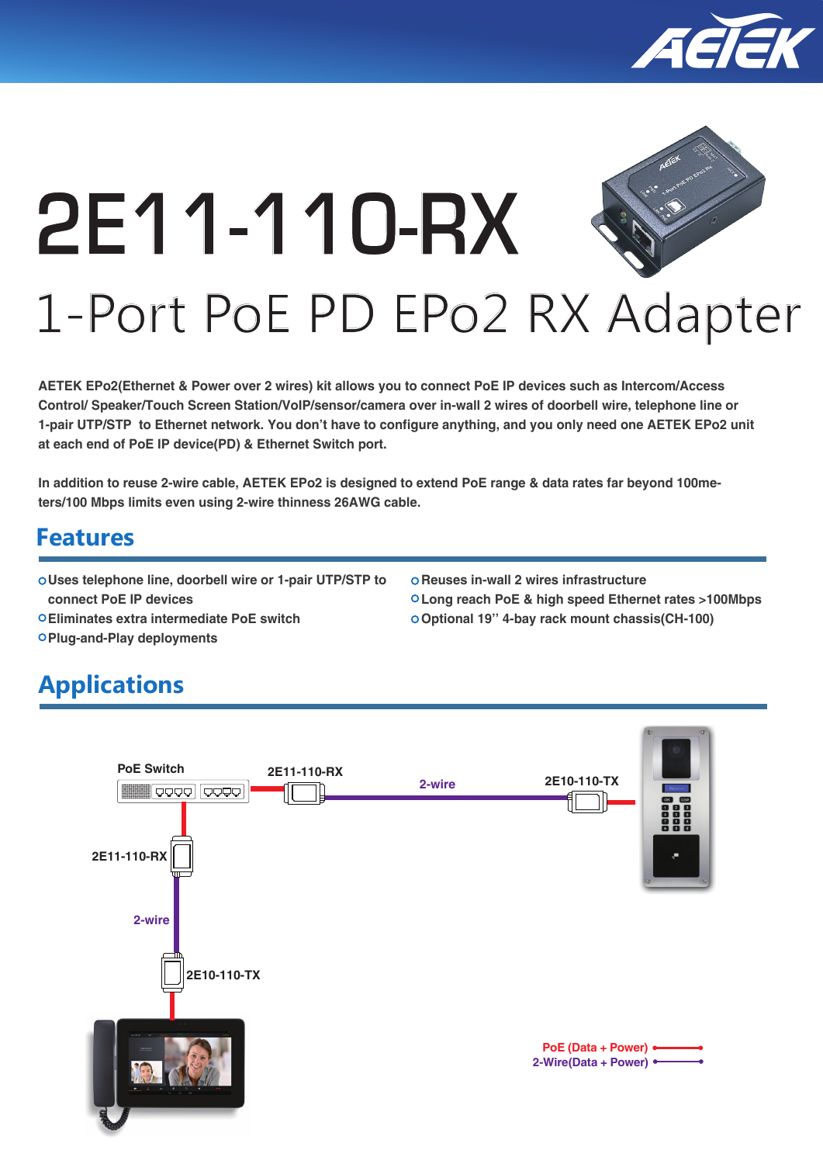

# **2E11-110-RX** 1-Port PoE PD EPo2 RX Adapter

#### **AETEK EPo2(Ethernet & Power over 2 wires) kit allows you to connect PoE IP devices such as Intercom/Access Control/ Speaker/Touch Screen Station/VoIP/sensor/camera over in-wall 2 wires of doorbell wire, telephone line or 1-pair UTP/STP to Ethernet network. You don't have to configure anything, and you only need one AETEK EPo2 unit at each end of PoE IP device(PD) & Ethernet Switch port.**

**In addition to reuse 2-wire cable, AETEK EPo2 is designed to extend PoE range & data rates far beyond 100meters/100 Mbps limits even using 2-wire thinness 26AWG cable.**

# **Features**

- **Uses telephone line, doorbell wire or 1-pair UTP/STP to connect PoE IP devices**
- **Reuses in-wall 2 wires infrastructure**
- **Long reach PoE & high speed Ethernet rates >100Mbps Optional 19'' 4-bay rack mount chassis(CH-100)**
- **Eliminates extra intermediate PoE switch**
- **Plug-and-Play deployments**

# **Applications**

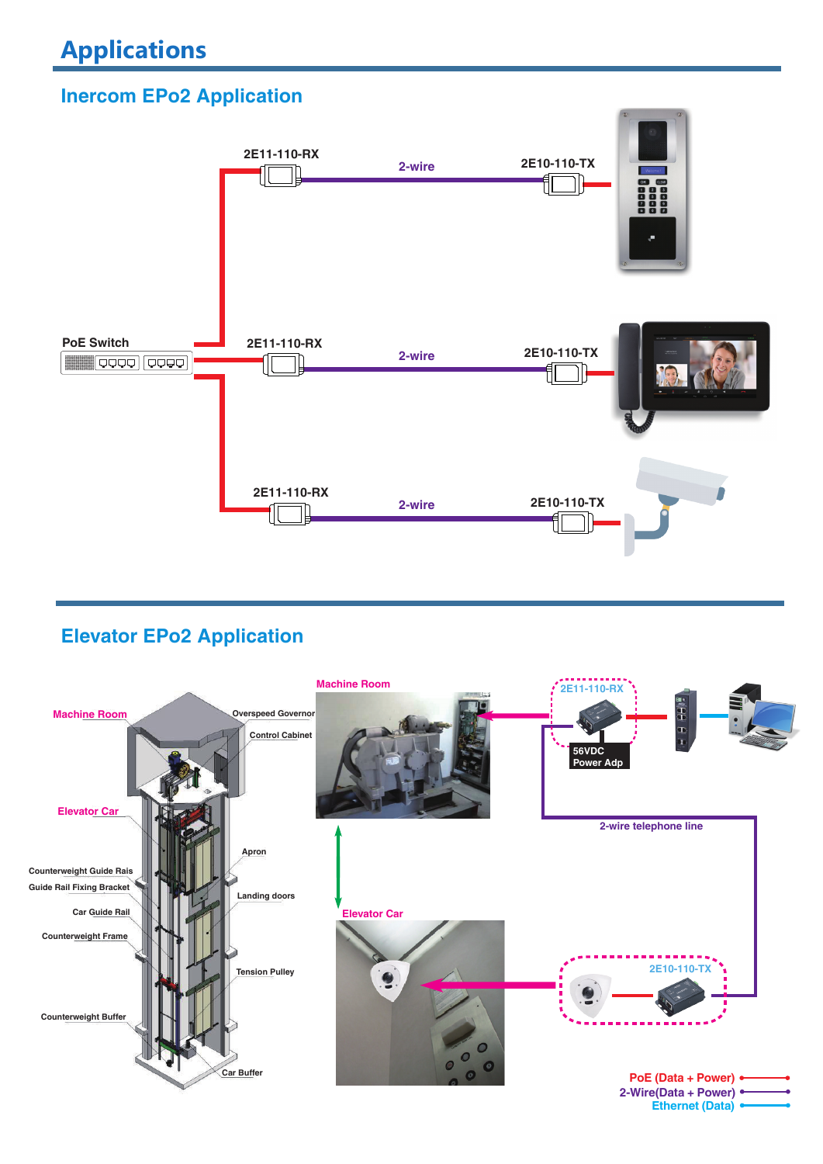# **Inercom EPo2 Application**



## **Elevator EPo2 Application**